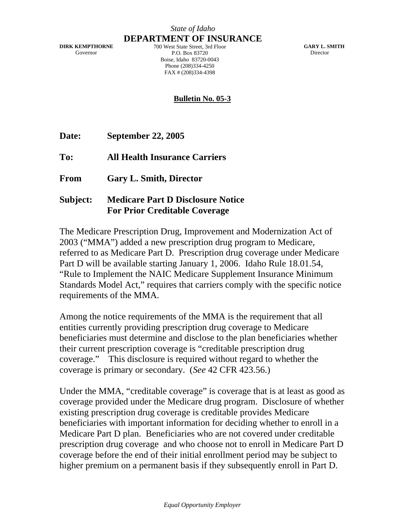**DIRK KEMPTHORNE**  Governor

**DEPARTMENT OF INSURANCE** 700 West State Street, 3rd Floor P.O. Box 83720 Boise, Idaho 83720-0043 Phone (208)334-4250 FAX # (208)334-4398

**GARY L. SMITH Director** 

## **Bulletin No. 05-3**

**Date: September 22, 2005** 

**To: All Health Insurance Carriers** 

**From Gary L. Smith, Director** 

**Subject: Medicare Part D Disclosure Notice For Prior Creditable Coverage** 

The Medicare Prescription Drug, Improvement and Modernization Act of 2003 ("MMA") added a new prescription drug program to Medicare, referred to as Medicare Part D. Prescription drug coverage under Medicare Part D will be available starting January 1, 2006. Idaho Rule 18.01.54, "Rule to Implement the NAIC Medicare Supplement Insurance Minimum Standards Model Act," requires that carriers comply with the specific notice requirements of the MMA.

Among the notice requirements of the MMA is the requirement that all entities currently providing prescription drug coverage to Medicare beneficiaries must determine and disclose to the plan beneficiaries whether their current prescription coverage is "creditable prescription drug coverage." This disclosure is required without regard to whether the coverage is primary or secondary. (*See* 42 CFR 423.56.)

Under the MMA, "creditable coverage" is coverage that is at least as good as coverage provided under the Medicare drug program. Disclosure of whether existing prescription drug coverage is creditable provides Medicare beneficiaries with important information for deciding whether to enroll in a Medicare Part D plan. Beneficiaries who are not covered under creditable prescription drug coverage and who choose not to enroll in Medicare Part D coverage before the end of their initial enrollment period may be subject to higher premium on a permanent basis if they subsequently enroll in Part D.